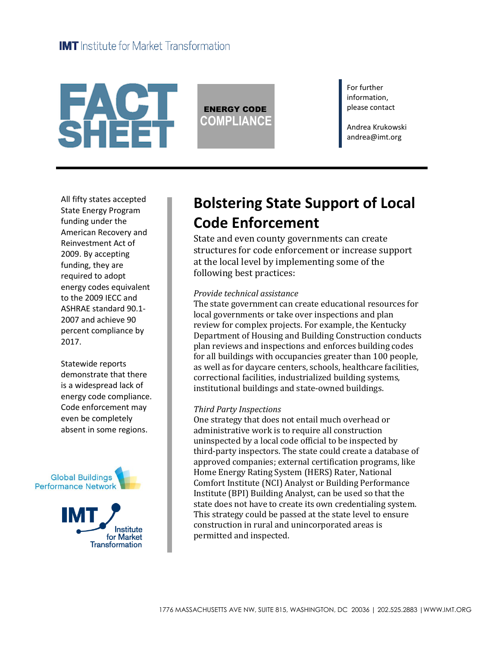

ENERGY CODE **COMPLIANCE** For further information, please contact

Andrea Krukowski andrea@imt.org

All fifty states accepted State Energy Program funding under the American Recovery and Reinvestment Act of 2009. By accepting funding, they are required to adopt energy codes equivalent to the 2009 IECC and ASHRAE standard 90.1- 2007 and achieve 90 percent compliance by 2017.

Statewide reports demonstrate that there is a widespread lack of energy code compliance. Code enforcement may even be completely absent in some regions.





# **Bolstering State Support of Local Code Enforcement**

State and even county governments can create structures for code enforcement or increase support at the local level by implementing some of the following best practices:

### *Provide technical assistance*

The state government can create educational resources for local governments or take over inspections and plan review for complex projects. For example, the Kentucky Department of Housing and Building Construction conducts plan reviews and inspections and enforces building codes for all buildings with occupancies greater than 100 people, as well as for daycare centers, schools, healthcare facilities, correctional facilities, industrialized building systems, institutional buildings and state-owned buildings.

### *Third Party Inspections*

One strategy that does not entail much overhead or administrative work is to require all construction uninspected by a local code official to be inspected by third-party inspectors. The state could create a database of approved companies; external certification programs, like Home Energy Rating System (HERS) Rater, National Comfort Institute (NCI) Analyst or Building Performance Institute (BPI) Building Analyst, can be used so that the state does not have to create its own credentialing system. This strategy could be passed at the state level to ensure construction in rural and unincorporated areas is permitted and inspected.